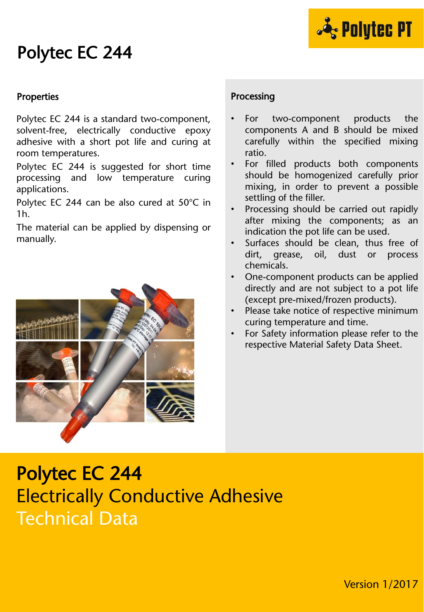

## Polytec EC 244

### Properties

Polytec EC 244 is a standard two-component, solvent-free, electrically conductive epoxy adhesive with a short pot life and curing at room temperatures.

Polytec EC 244 is suggested for short time processing and low temperature curing applications.

Polytec EC 244 can be also cured at 50°C in 1h.

The material can be applied by dispensing or manually.



### Processing

- For two-component products the components A and B should be mixed carefully within the specified mixing ratio.
- For filled products both components should be homogenized carefully prior mixing, in order to prevent a possible settling of the filler.
- Processing should be carried out rapidly after mixing the components; as an indication the pot life can be used.
- Surfaces should be clean, thus free of dirt, grease, oil, dust or process chemicals.
- One-component products can be applied directly and are not subject to a pot life (except pre-mixed/frozen products).
- Please take notice of respective minimum curing temperature and time.
- For Safety information please refer to the respective Material Safety Data Sheet.

# Polytec EC 244 Electrically Conductive Adhesive Technical Data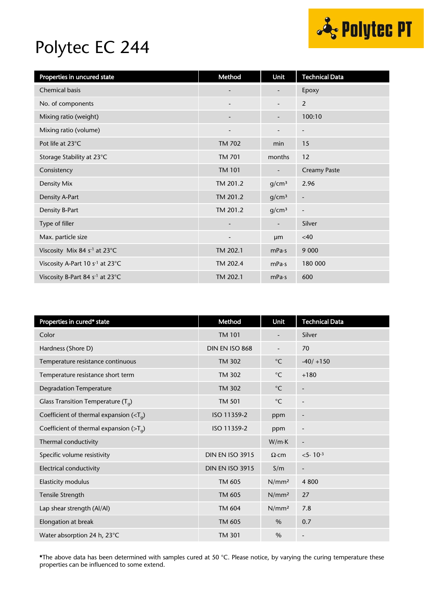

# Polytec EC 244

| Properties in uncured state                 | Method                   | Unit                     | <b>Technical Data</b>    |
|---------------------------------------------|--------------------------|--------------------------|--------------------------|
| Chemical basis                              |                          | -                        | Epoxy                    |
| No. of components                           |                          | -                        | 2                        |
| Mixing ratio (weight)                       | $\overline{\phantom{a}}$ | $\overline{\phantom{a}}$ | 100:10                   |
| Mixing ratio (volume)                       |                          | -                        | $\overline{\phantom{a}}$ |
| Pot life at 23°C                            | <b>TM 702</b>            | min                      | 15                       |
| Storage Stability at 23°C                   | TM 701                   | months                   | 12                       |
| Consistency                                 | <b>TM 101</b>            | -                        | <b>Creamy Paste</b>      |
| Density Mix                                 | TM 201.2                 | g/cm <sup>3</sup>        | 2.96                     |
| Density A-Part                              | TM 201.2                 | g/cm <sup>3</sup>        | $\overline{\phantom{a}}$ |
| Density B-Part                              | TM 201.2                 | g/cm <sup>3</sup>        | $\overline{\phantom{a}}$ |
| Type of filler                              | $\overline{\phantom{a}}$ | $\overline{\phantom{a}}$ | Silver                   |
| Max. particle size                          | $\overline{\phantom{0}}$ | µm                       | <40                      |
| Viscosity Mix 84 s <sup>-1</sup> at 23°C    | TM 202.1                 | mPa·s                    | 9 0 0 0                  |
| Viscosity A-Part 10 s <sup>-1</sup> at 23°C | TM 202.4                 | mPa·s                    | 180 000                  |
| Viscosity B-Part 84 s <sup>-1</sup> at 23°C | TM 202.1                 | mPa·s                    | 600                      |

| Properties in cured* state                                 | Method                 | Unit                     | <b>Technical Data</b>        |
|------------------------------------------------------------|------------------------|--------------------------|------------------------------|
| Color                                                      | <b>TM 101</b>          | $\overline{\phantom{a}}$ | Silver                       |
| Hardness (Shore D)                                         | DIN EN ISO 868         |                          | 70                           |
| Temperature resistance continuous                          | <b>TM 302</b>          | $^{\circ}$ C             | $-40/ +150$                  |
| Temperature resistance short term                          | <b>TM 302</b>          | $^{\circ}$ C             | $+180$                       |
| <b>Degradation Temperature</b>                             | <b>TM 302</b>          | $^{\circ}{\rm C}$        | $\overline{\phantom{a}}$     |
| Glass Transition Temperature $(T_q)$                       | <b>TM 501</b>          | $^{\circ}$ C             | $\overline{a}$               |
| Coefficient of thermal expansion ( $\langle T_{q} \rangle$ | ISO 11359-2            | ppm                      | $\overline{\phantom{a}}$     |
| Coefficient of thermal expansion ( $>Ta$ )                 | ISO 11359-2            | ppm                      | $\qquad \qquad \blacksquare$ |
| Thermal conductivity                                       |                        | W/mK                     | $\qquad \qquad \blacksquare$ |
| Specific volume resistivity                                | <b>DIN EN ISO 3915</b> | $\Omega$ ·cm             | $< 5.10^{-3}$                |
| Electrical conductivity                                    | <b>DIN EN ISO 3915</b> | S/m                      | $\overline{\phantom{a}}$     |
| Elasticity modulus                                         | TM 605                 | N/mm <sup>2</sup>        | 4800                         |
| Tensile Strength                                           | TM 605                 | N/mm <sup>2</sup>        | 27                           |
| Lap shear strength (Al/Al)                                 | TM 604                 | N/mm <sup>2</sup>        | 7.8                          |
| Elongation at break                                        | TM 605                 | $\%$                     | 0.7                          |
| Water absorption 24 h, 23°C                                | <b>TM 301</b>          | %                        | $\overline{\phantom{a}}$     |

\*The above data has been determined with samples cured at 50 °C. Please notice, by varying the curing temperature these properties can be influenced to some extend.